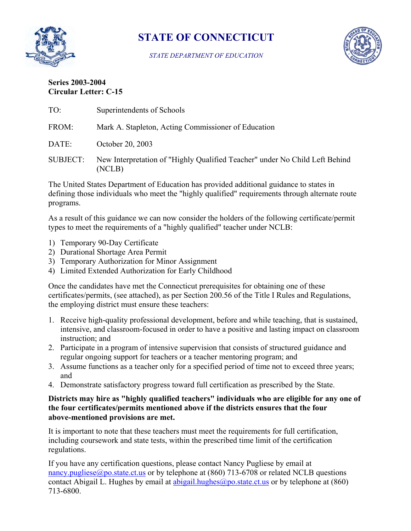

# **STATE OF CONNECTICUT**

*STATE DEPARTMENT OF EDUCATION* 



# **Series 2003-2004 Circular Letter: C-15**

| TO:                                                                                                                                                                                        | Superintendents of Schools                                                            |
|--------------------------------------------------------------------------------------------------------------------------------------------------------------------------------------------|---------------------------------------------------------------------------------------|
| FROM:                                                                                                                                                                                      | Mark A. Stapleton, Acting Commissioner of Education                                   |
| DATE:                                                                                                                                                                                      | October 20, 2003                                                                      |
| <b>SUBJECT:</b>                                                                                                                                                                            | New Interpretation of "Highly Qualified Teacher" under No Child Left Behind<br>(NCLB) |
| The United States Department of Education has provided additional guidance to states in<br>defining those individuals who meet the "highly qualified" requirements through alternate route |                                                                                       |

defining those individuals who meet the "highly qualified" requirements through alternate route programs.

As a result of this guidance we can now consider the holders of the following certificate/permit types to meet the requirements of a "highly qualified" teacher under NCLB:

- 1) Temporary 90-Day Certificate
- 2) Durational Shortage Area Permit
- 3) Temporary Authorization for Minor Assignment
- 4) Limited Extended Authorization for Early Childhood

Once the candidates have met the Connecticut prerequisites for obtaining one of these certificates/permits, (see attached), as per Section 200.56 of the Title I Rules and Regulations, the employing district must ensure these teachers:

- 1. Receive high-quality professional development, before and while teaching, that is sustained, intensive, and classroom-focused in order to have a positive and lasting impact on classroom instruction; and
- 2. Participate in a program of intensive supervision that consists of structured guidance and regular ongoing support for teachers or a teacher mentoring program; and
- 3. Assume functions as a teacher only for a specified period of time not to exceed three years; and
- 4. Demonstrate satisfactory progress toward full certification as prescribed by the State.

## **Districts may hire as "highly qualified teachers" individuals who are eligible for any one of the four certificates/permits mentioned above if the districts ensures that the four above-mentioned provisions are met.**

It is important to note that these teachers must meet the requirements for full certification, including coursework and state tests, within the prescribed time limit of the certification regulations.

If you have any certification questions, please contact Nancy Pugliese by email at nancy.pugliese@po.state.ct.us or by telephone at (860) 713-6708 or related NCLB questions contact Abigail L. Hughes by email at abigail.hughes@po.state.ct.us or by telephone at (860) 713-6800.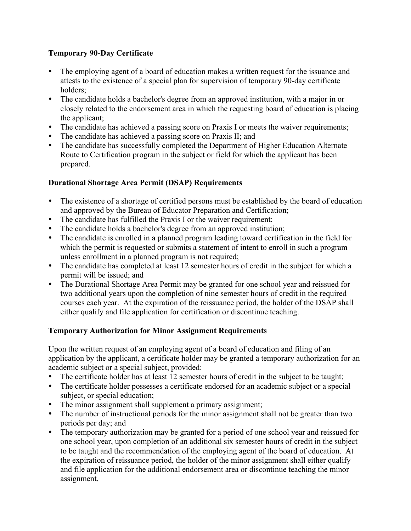## **Temporary 90-Day Certificate**

- The employing agent of a board of education makes a written request for the issuance and attests to the existence of a special plan for supervision of temporary 90-day certificate holders;
- The candidate holds a bachelor's degree from an approved institution, with a major in or closely related to the endorsement area in which the requesting board of education is placing the applicant;
- The candidate has achieved a passing score on Praxis I or meets the waiver requirements;
- The candidate has achieved a passing score on Praxis II; and
- The candidate has successfully completed the Department of Higher Education Alternate Route to Certification program in the subject or field for which the applicant has been prepared.

# **Durational Shortage Area Permit (DSAP) Requirements**

- The existence of a shortage of certified persons must be established by the board of education and approved by the Bureau of Educator Preparation and Certification;
- The candidate has fulfilled the Praxis I or the waiver requirement;
- The candidate holds a bachelor's degree from an approved institution;
- The candidate is enrolled in a planned program leading toward certification in the field for which the permit is requested or submits a statement of intent to enroll in such a program unless enrollment in a planned program is not required;
- The candidate has completed at least 12 semester hours of credit in the subject for which a permit will be issued; and
- The Durational Shortage Area Permit may be granted for one school year and reissued for two additional years upon the completion of nine semester hours of credit in the required courses each year. At the expiration of the reissuance period, the holder of the DSAP shall either qualify and file application for certification or discontinue teaching.

## **Temporary Authorization for Minor Assignment Requirements**

Upon the written request of an employing agent of a board of education and filing of an application by the applicant, a certificate holder may be granted a temporary authorization for an academic subject or a special subject, provided:

- The certificate holder has at least 12 semester hours of credit in the subject to be taught;
- The certificate holder possesses a certificate endorsed for an academic subject or a special subject, or special education;
- The minor assignment shall supplement a primary assignment;
- The number of instructional periods for the minor assignment shall not be greater than two periods per day; and
- The temporary authorization may be granted for a period of one school year and reissued for one school year, upon completion of an additional six semester hours of credit in the subject to be taught and the recommendation of the employing agent of the board of education. At the expiration of reissuance period, the holder of the minor assignment shall either qualify and file application for the additional endorsement area or discontinue teaching the minor assignment.